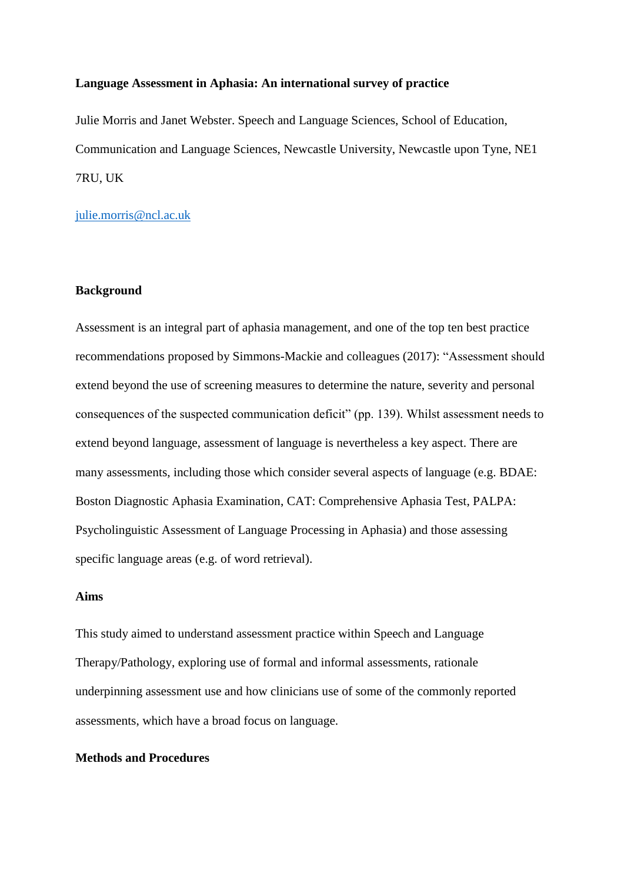## **Language Assessment in Aphasia: An international survey of practice**

Julie Morris and Janet Webster. Speech and Language Sciences, School of Education, Communication and Language Sciences, Newcastle University, Newcastle upon Tyne, NE1 7RU, UK

[julie.morris@ncl.ac.uk](mailto:julie.morris@ncl.ac.uk)

# **Background**

Assessment is an integral part of aphasia management, and one of the top ten best practice recommendations proposed by Simmons-Mackie and colleagues (2017): "Assessment should extend beyond the use of screening measures to determine the nature, severity and personal consequences of the suspected communication deficit" (pp. 139). Whilst assessment needs to extend beyond language, assessment of language is nevertheless a key aspect. There are many assessments, including those which consider several aspects of language (e.g. BDAE: Boston Diagnostic Aphasia Examination, CAT: Comprehensive Aphasia Test, PALPA: Psycholinguistic Assessment of Language Processing in Aphasia) and those assessing specific language areas (e.g. of word retrieval).

# **Aims**

This study aimed to understand assessment practice within Speech and Language Therapy/Pathology, exploring use of formal and informal assessments, rationale underpinning assessment use and how clinicians use of some of the commonly reported assessments, which have a broad focus on language.

# **Methods and Procedures**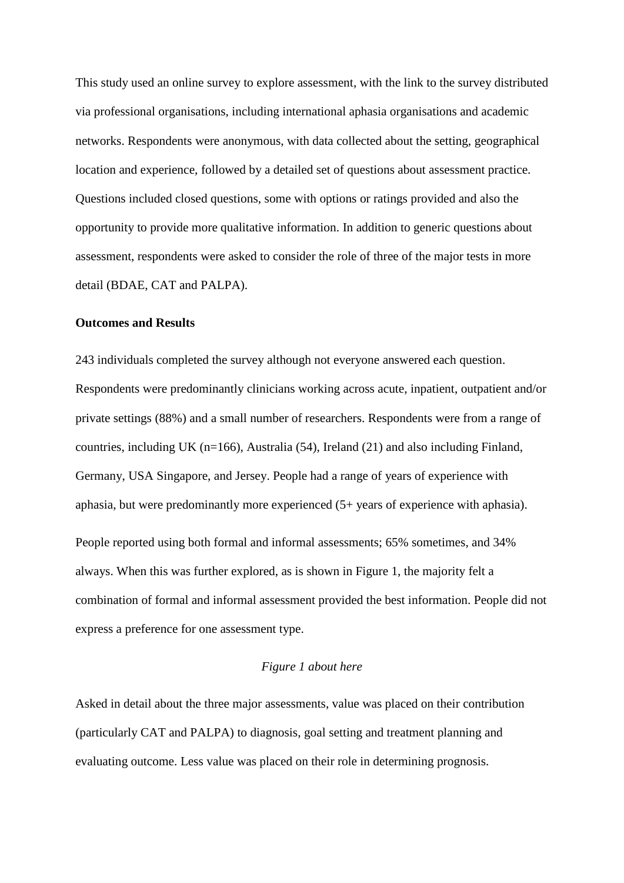This study used an online survey to explore assessment, with the link to the survey distributed via professional organisations, including international aphasia organisations and academic networks. Respondents were anonymous, with data collected about the setting, geographical location and experience, followed by a detailed set of questions about assessment practice. Questions included closed questions, some with options or ratings provided and also the opportunity to provide more qualitative information. In addition to generic questions about assessment, respondents were asked to consider the role of three of the major tests in more detail (BDAE, CAT and PALPA).

#### **Outcomes and Results**

243 individuals completed the survey although not everyone answered each question. Respondents were predominantly clinicians working across acute, inpatient, outpatient and/or private settings (88%) and a small number of researchers. Respondents were from a range of countries, including UK (n=166), Australia (54), Ireland (21) and also including Finland, Germany, USA Singapore, and Jersey. People had a range of years of experience with aphasia, but were predominantly more experienced (5+ years of experience with aphasia). People reported using both formal and informal assessments; 65% sometimes, and 34% always. When this was further explored, as is shown in Figure 1, the majority felt a combination of formal and informal assessment provided the best information. People did not express a preference for one assessment type.

# *Figure 1 about here*

Asked in detail about the three major assessments, value was placed on their contribution (particularly CAT and PALPA) to diagnosis, goal setting and treatment planning and evaluating outcome. Less value was placed on their role in determining prognosis.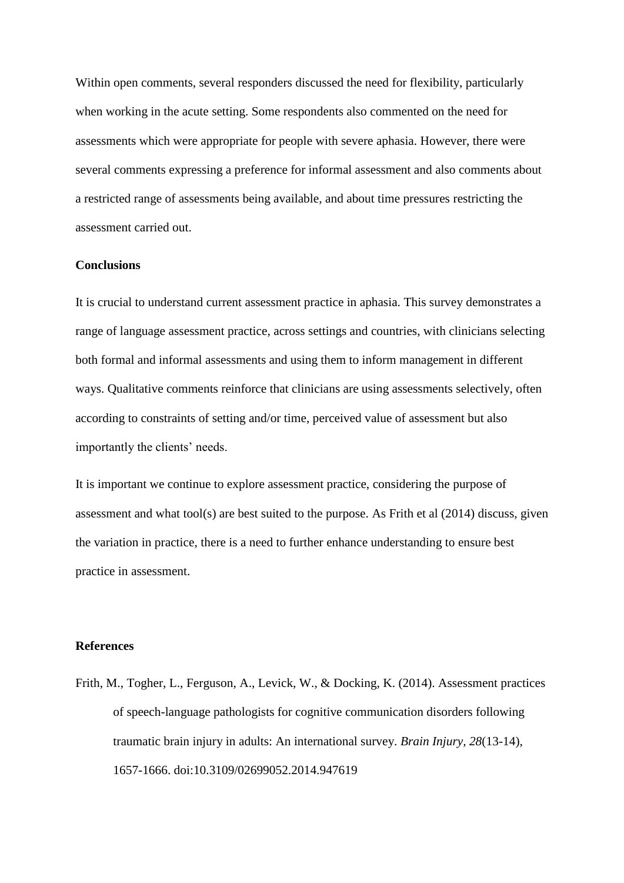Within open comments, several responders discussed the need for flexibility, particularly when working in the acute setting. Some respondents also commented on the need for assessments which were appropriate for people with severe aphasia. However, there were several comments expressing a preference for informal assessment and also comments about a restricted range of assessments being available, and about time pressures restricting the assessment carried out.

## **Conclusions**

It is crucial to understand current assessment practice in aphasia. This survey demonstrates a range of language assessment practice, across settings and countries, with clinicians selecting both formal and informal assessments and using them to inform management in different ways. Qualitative comments reinforce that clinicians are using assessments selectively, often according to constraints of setting and/or time, perceived value of assessment but also importantly the clients' needs.

It is important we continue to explore assessment practice, considering the purpose of assessment and what tool(s) are best suited to the purpose. As Frith et al (2014) discuss, given the variation in practice, there is a need to further enhance understanding to ensure best practice in assessment.

## **References**

Frith, M., Togher, L., Ferguson, A., Levick, W., & Docking, K. (2014). Assessment practices of speech-language pathologists for cognitive communication disorders following traumatic brain injury in adults: An international survey. *Brain Injury, 28*(13-14), 1657-1666. doi:10.3109/02699052.2014.947619